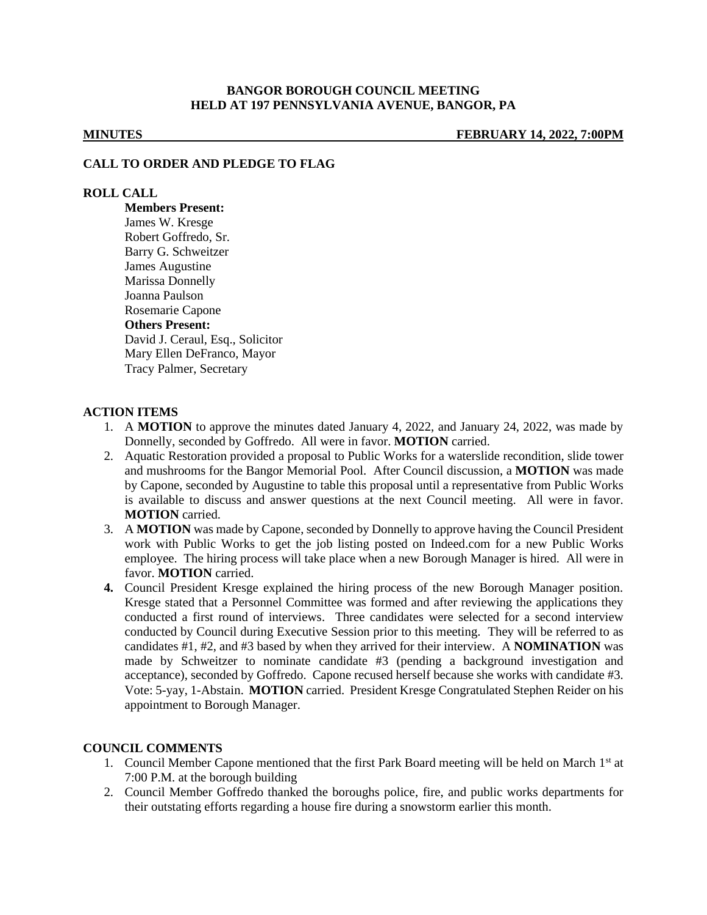# **BANGOR BOROUGH COUNCIL MEETING HELD AT 197 PENNSYLVANIA AVENUE, BANGOR, PA**

**MINUTES FEBRUARY 14, 2022, 7:00PM**

#### **CALL TO ORDER AND PLEDGE TO FLAG**

### **ROLL CALL**

**Members Present:** James W. Kresge Robert Goffredo, Sr. Barry G. Schweitzer James Augustine Marissa Donnelly Joanna Paulson Rosemarie Capone **Others Present:** David J. Ceraul, Esq., Solicitor Mary Ellen DeFranco, Mayor Tracy Palmer, Secretary

## **ACTION ITEMS**

- 1. A **MOTION** to approve the minutes dated January 4, 2022, and January 24, 2022, was made by Donnelly, seconded by Goffredo. All were in favor. **MOTION** carried.
- 2. Aquatic Restoration provided a proposal to Public Works for a waterslide recondition, slide tower and mushrooms for the Bangor Memorial Pool. After Council discussion, a **MOTION** was made by Capone, seconded by Augustine to table this proposal until a representative from Public Works is available to discuss and answer questions at the next Council meeting. All were in favor. **MOTION** carried.
- 3. A **MOTION** was made by Capone, seconded by Donnelly to approve having the Council President work with Public Works to get the job listing posted on Indeed.com for a new Public Works employee. The hiring process will take place when a new Borough Manager is hired. All were in favor. **MOTION** carried.
- **4.** Council President Kresge explained the hiring process of the new Borough Manager position. Kresge stated that a Personnel Committee was formed and after reviewing the applications they conducted a first round of interviews. Three candidates were selected for a second interview conducted by Council during Executive Session prior to this meeting. They will be referred to as candidates #1, #2, and #3 based by when they arrived for their interview. A **NOMINATION** was made by Schweitzer to nominate candidate #3 (pending a background investigation and acceptance), seconded by Goffredo. Capone recused herself because she works with candidate #3. Vote: 5-yay, 1-Abstain. **MOTION** carried. President Kresge Congratulated Stephen Reider on his appointment to Borough Manager.

### **COUNCIL COMMENTS**

- 1. Council Member Capone mentioned that the first Park Board meeting will be held on March 1st at 7:00 P.M. at the borough building
- 2. Council Member Goffredo thanked the boroughs police, fire, and public works departments for their outstating efforts regarding a house fire during a snowstorm earlier this month.